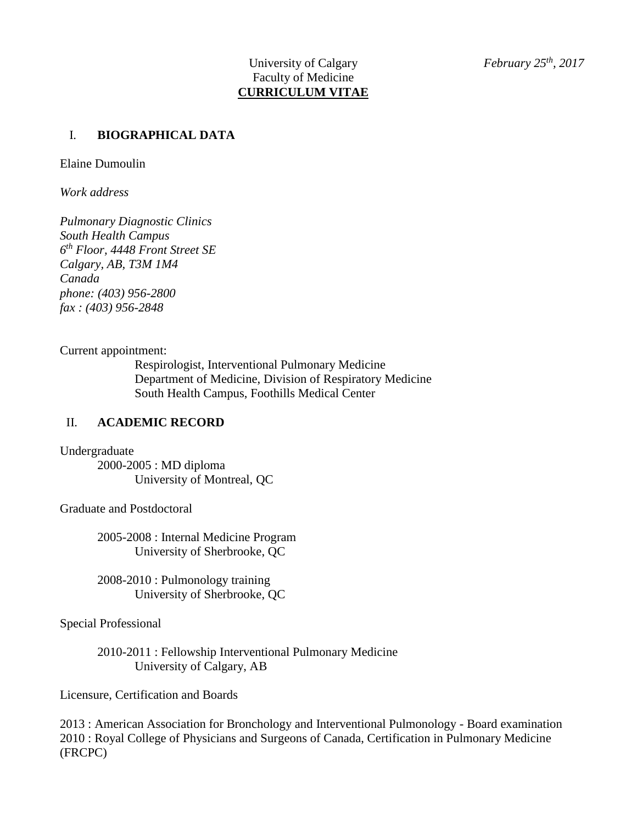### I. **BIOGRAPHICAL DATA**

Elaine Dumoulin

*Work address*

*Pulmonary Diagnostic Clinics South Health Campus 6 th Floor, 4448 Front Street SE Calgary, AB, T3M 1M4 Canada phone: (403) 956-2800 fax : (403) 956-2848*

Current appointment:

Respirologist, Interventional Pulmonary Medicine Department of Medicine, Division of Respiratory Medicine South Health Campus, Foothills Medical Center

#### II. **ACADEMIC RECORD**

Undergraduate

2000-2005 : MD diploma University of Montreal, QC

Graduate and Postdoctoral

2005-2008 : Internal Medicine Program University of Sherbrooke, QC

2008-2010 : Pulmonology training University of Sherbrooke, QC

Special Professional

2010-2011 : Fellowship Interventional Pulmonary Medicine University of Calgary, AB

Licensure, Certification and Boards

2013 : American Association for Bronchology and Interventional Pulmonology - Board examination 2010 : Royal College of Physicians and Surgeons of Canada, Certification in Pulmonary Medicine (FRCPC)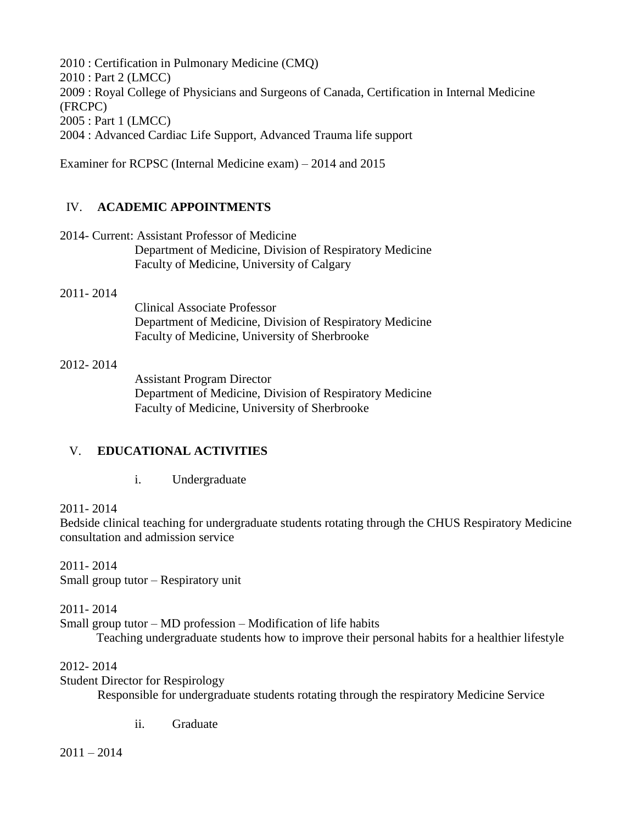2010 : Certification in Pulmonary Medicine (CMQ) 2010 : Part 2 (LMCC) 2009 : Royal College of Physicians and Surgeons of Canada, Certification in Internal Medicine (FRCPC) 2005 : Part 1 (LMCC) 2004 : Advanced Cardiac Life Support, Advanced Trauma life support

Examiner for RCPSC (Internal Medicine exam) – 2014 and 2015

# IV. **ACADEMIC APPOINTMENTS**

2014- Current: Assistant Professor of Medicine Department of Medicine, Division of Respiratory Medicine Faculty of Medicine, University of Calgary

#### 2011- 2014

Clinical Associate Professor Department of Medicine, Division of Respiratory Medicine Faculty of Medicine, University of Sherbrooke

#### 2012- 2014

Assistant Program Director Department of Medicine, Division of Respiratory Medicine Faculty of Medicine, University of Sherbrooke

## V. **EDUCATIONAL ACTIVITIES**

i. Undergraduate

#### 2011- 2014

Bedside clinical teaching for undergraduate students rotating through the CHUS Respiratory Medicine consultation and admission service

2011- 2014 Small group tutor – Respiratory unit

2011- 2014

Small group tutor – MD profession – Modification of life habits Teaching undergraduate students how to improve their personal habits for a healthier lifestyle

#### 2012- 2014

Student Director for Respirology

Responsible for undergraduate students rotating through the respiratory Medicine Service

ii. Graduate

 $2011 - 2014$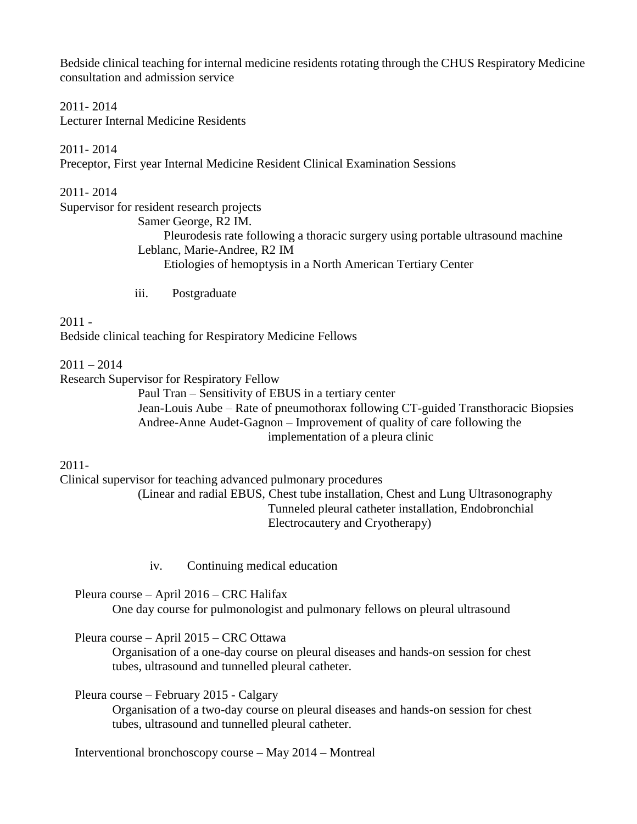Bedside clinical teaching for internal medicine residents rotating through the CHUS Respiratory Medicine consultation and admission service

2011- 2014 Lecturer Internal Medicine Residents

2011- 2014 Preceptor, First year Internal Medicine Resident Clinical Examination Sessions

2011- 2014 Supervisor for resident research projects Samer George, R2 IM. Pleurodesis rate following a thoracic surgery using portable ultrasound machine Leblanc, Marie-Andree, R2 IM Etiologies of hemoptysis in a North American Tertiary Center

iii. Postgraduate

2011 - Bedside clinical teaching for Respiratory Medicine Fellows

 $2011 - 2014$ 

Research Supervisor for Respiratory Fellow

Paul Tran – Sensitivity of EBUS in a tertiary center Jean-Louis Aube – Rate of pneumothorax following CT-guided Transthoracic Biopsies Andree-Anne Audet-Gagnon – Improvement of quality of care following the implementation of a pleura clinic

2011-

Clinical supervisor for teaching advanced pulmonary procedures (Linear and radial EBUS, Chest tube installation, Chest and Lung Ultrasonography

Tunneled pleural catheter installation, Endobronchial Electrocautery and Cryotherapy)

iv. Continuing medical education

Pleura course – April 2016 – CRC Halifax

One day course for pulmonologist and pulmonary fellows on pleural ultrasound

Pleura course – April 2015 – CRC Ottawa

Organisation of a one-day course on pleural diseases and hands-on session for chest tubes, ultrasound and tunnelled pleural catheter.

Pleura course – February 2015 - Calgary

Organisation of a two-day course on pleural diseases and hands-on session for chest tubes, ultrasound and tunnelled pleural catheter.

Interventional bronchoscopy course – May 2014 – Montreal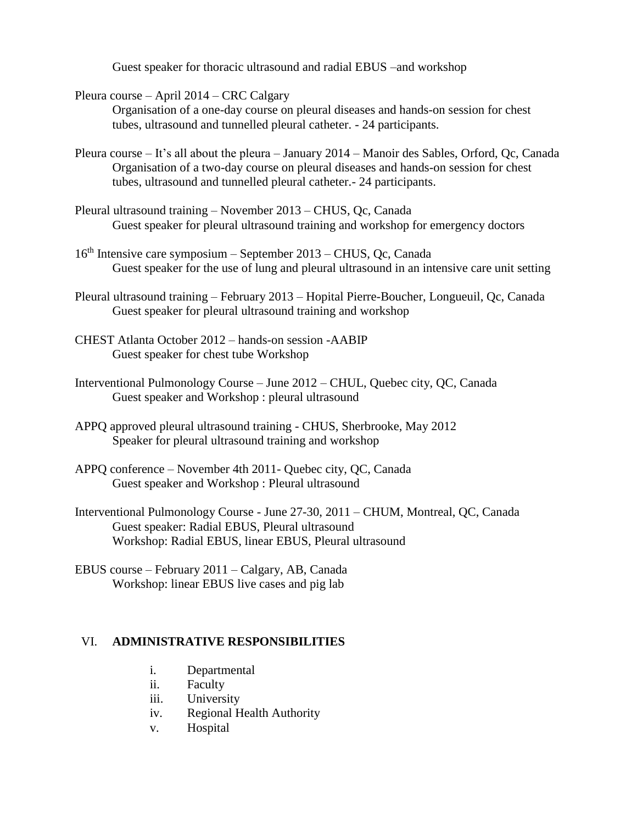Guest speaker for thoracic ultrasound and radial EBUS –and workshop

Pleura course – April 2014 – CRC Calgary

Organisation of a one-day course on pleural diseases and hands-on session for chest tubes, ultrasound and tunnelled pleural catheter. - 24 participants.

- Pleura course It's all about the pleura January 2014 Manoir des Sables, Orford, Qc, Canada Organisation of a two-day course on pleural diseases and hands-on session for chest tubes, ultrasound and tunnelled pleural catheter.- 24 participants.
- Pleural ultrasound training November 2013 CHUS, Qc, Canada Guest speaker for pleural ultrasound training and workshop for emergency doctors
- 16th Intensive care symposium September 2013 CHUS, Qc, Canada Guest speaker for the use of lung and pleural ultrasound in an intensive care unit setting
- Pleural ultrasound training February 2013 Hopital Pierre-Boucher, Longueuil, Qc, Canada Guest speaker for pleural ultrasound training and workshop
- CHEST Atlanta October 2012 hands-on session -AABIP Guest speaker for chest tube Workshop
- Interventional Pulmonology Course June 2012 CHUL, Quebec city, QC, Canada Guest speaker and Workshop : pleural ultrasound
- APPQ approved pleural ultrasound training CHUS, Sherbrooke, May 2012 Speaker for pleural ultrasound training and workshop
- APPQ conference November 4th 2011- Quebec city, QC, Canada Guest speaker and Workshop : Pleural ultrasound
- Interventional Pulmonology Course June 27-30, 2011 CHUM, Montreal, QC, Canada Guest speaker: Radial EBUS, Pleural ultrasound Workshop: Radial EBUS, linear EBUS, Pleural ultrasound
- EBUS course February 2011 Calgary, AB, Canada Workshop: linear EBUS live cases and pig lab

#### VI. **ADMINISTRATIVE RESPONSIBILITIES**

- i. Departmental
- ii. Faculty
- iii. University
- iv. Regional Health Authority
- v. Hospital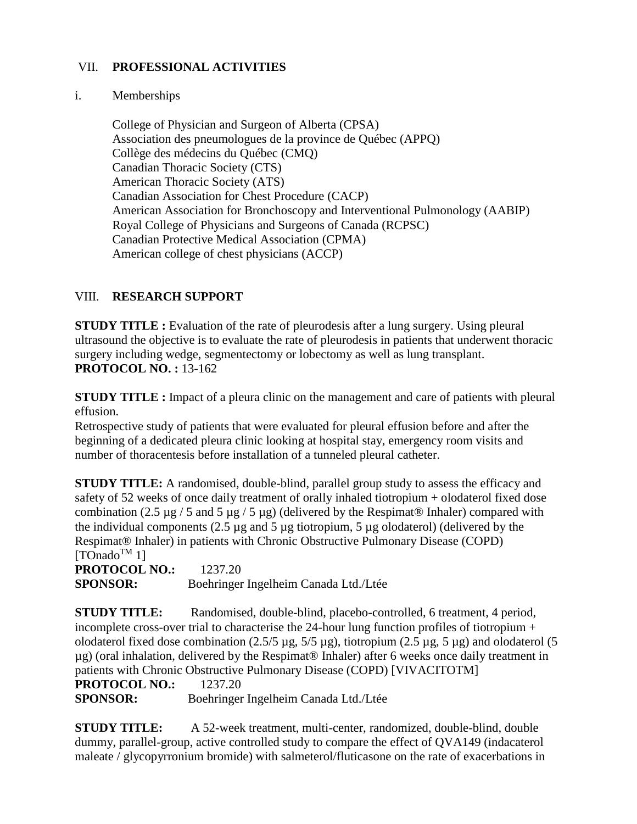## VII. **PROFESSIONAL ACTIVITIES**

#### i. Memberships

College of Physician and Surgeon of Alberta (CPSA) Association des pneumologues de la province de Québec (APPQ) Collège des médecins du Québec (CMQ) Canadian Thoracic Society (CTS) American Thoracic Society (ATS) Canadian Association for Chest Procedure (CACP) American Association for Bronchoscopy and Interventional Pulmonology (AABIP) Royal College of Physicians and Surgeons of Canada (RCPSC) Canadian Protective Medical Association (CPMA) American college of chest physicians (ACCP)

### VIII. **RESEARCH SUPPORT**

**STUDY TITLE** : Evaluation of the rate of pleurodesis after a lung surgery. Using pleural ultrasound the objective is to evaluate the rate of pleurodesis in patients that underwent thoracic surgery including wedge, segmentectomy or lobectomy as well as lung transplant. **PROTOCOL NO. :** 13-162

**STUDY TITLE :** Impact of a pleura clinic on the management and care of patients with pleural effusion.

Retrospective study of patients that were evaluated for pleural effusion before and after the beginning of a dedicated pleura clinic looking at hospital stay, emergency room visits and number of thoracentesis before installation of a tunneled pleural catheter.

**STUDY TITLE:** A randomised, double-blind, parallel group study to assess the efficacy and safety of 52 weeks of once daily treatment of orally inhaled tiotropium + olodaterol fixed dose combination (2.5  $\mu$ g / 5 and 5  $\mu$ g / 5  $\mu$ g) (delivered by the Respimat® Inhaler) compared with the individual components (2.5  $\mu$ g and 5  $\mu$ g tiotropium, 5  $\mu$ g olodaterol) (delivered by the Respimat® Inhaler) in patients with Chronic Obstructive Pulmonary Disease (COPD)  $[TOnado^{TM} 1]$ 

**PROTOCOL NO.:** 1237.20 **SPONSOR:** Boehringer Ingelheim Canada Ltd./Ltée

**STUDY TITLE:** Randomised, double-blind, placebo-controlled, 6 treatment, 4 period, incomplete cross-over trial to characterise the 24-hour lung function profiles of tiotropium + olodaterol fixed dose combination (2.5/5 µg, 5/5 µg), tiotropium (2.5 µg, 5 µg) and olodaterol (5 µg) (oral inhalation, delivered by the Respimat® Inhaler) after 6 weeks once daily treatment in patients with Chronic Obstructive Pulmonary Disease (COPD) [VIVACITOTM]

**PROTOCOL NO.:** 1237.20

**SPONSOR:** Boehringer Ingelheim Canada Ltd./Ltée

**STUDY TITLE:** A 52-week treatment, multi-center, randomized, double-blind, double dummy, parallel-group, active controlled study to compare the effect of QVA149 (indacaterol maleate / glycopyrronium bromide) with salmeterol/fluticasone on the rate of exacerbations in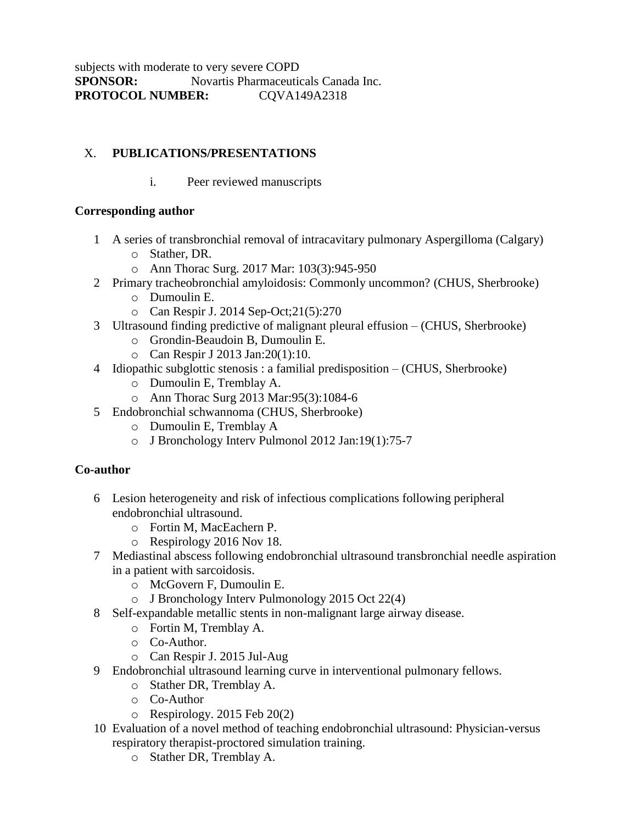# X. **PUBLICATIONS/PRESENTATIONS**

i. Peer reviewed manuscripts

## **Corresponding author**

- 1 A series of transbronchial removal of intracavitary pulmonary Aspergilloma (Calgary)
	- o Stather, DR.
	- o Ann Thorac Surg. 2017 Mar: 103(3):945-950
- 2 Primary tracheobronchial amyloidosis: Commonly uncommon? (CHUS, Sherbrooke)
	- o Dumoulin E.
	- o Can Respir J. 2014 Sep-Oct;21(5):270
- 3 Ultrasound finding predictive of malignant pleural effusion (CHUS, Sherbrooke)
	- o Grondin-Beaudoin B, Dumoulin E.
	- o Can Respir J 2013 Jan:20(1):10.
- 4 Idiopathic subglottic stenosis : a familial predisposition (CHUS, Sherbrooke)
	- o Dumoulin E, Tremblay A.
	- o Ann Thorac Surg 2013 Mar:95(3):1084-6
- 5 Endobronchial schwannoma (CHUS, Sherbrooke)
	- o Dumoulin E, Tremblay A
	- o J Bronchology Interv Pulmonol 2012 Jan:19(1):75-7

## **Co-author**

- 6 Lesion heterogeneity and risk of infectious complications following peripheral endobronchial ultrasound.
	- o Fortin M, MacEachern P.
	- o Respirology 2016 Nov 18.
- 7 Mediastinal abscess following endobronchial ultrasound transbronchial needle aspiration in a patient with sarcoidosis.
	- o McGovern F, Dumoulin E.
	- o J Bronchology Interv Pulmonology 2015 Oct 22(4)
- 8 Self-expandable metallic stents in non-malignant large airway disease.
	- o Fortin M, Tremblay A.
	- o Co-Author.
	- o Can Respir J. 2015 Jul-Aug
- 9 Endobronchial ultrasound learning curve in interventional pulmonary fellows.
	- o Stather DR, Tremblay A.
	- o Co-Author
	- o Respirology. 2015 Feb 20(2)
- 10 Evaluation of a novel method of teaching endobronchial ultrasound: Physician-versus respiratory therapist-proctored simulation training.
	- o Stather DR, Tremblay A.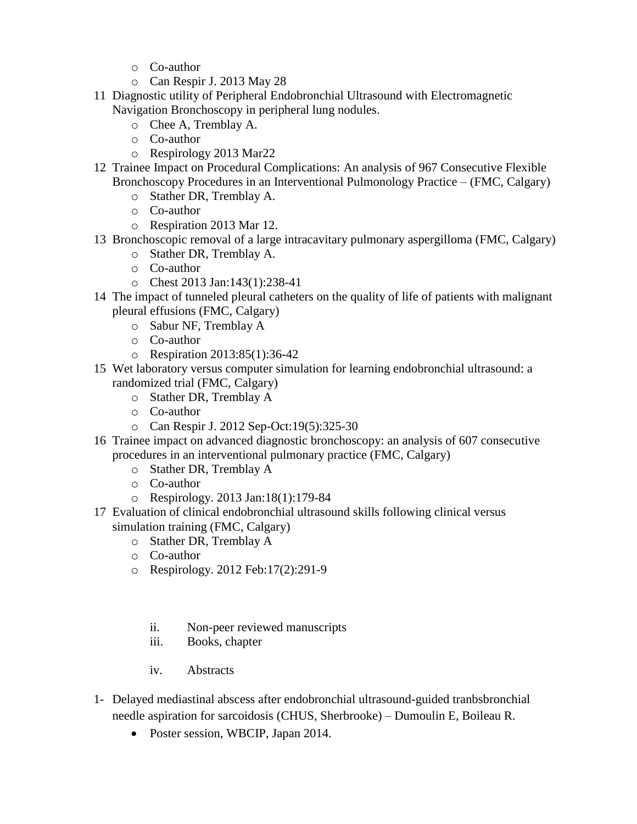- o Co-author
- o Can Respir J. 2013 May 28
- 11 Diagnostic utility of Peripheral Endobronchial Ultrasound with Electromagnetic Navigation Bronchoscopy in peripheral lung nodules.
	- o Chee A, Tremblay A.
	- o Co-author
	- o Respirology 2013 Mar22
- 12 Trainee Impact on Procedural Complications: An analysis of 967 Consecutive Flexible Bronchoscopy Procedures in an Interventional Pulmonology Practice – (FMC, Calgary)
	- o Stather DR, Tremblay A.
	- o Co-author
	- o Respiration 2013 Mar 12.
- 13 Bronchoscopic removal of a large intracavitary pulmonary aspergilloma (FMC, Calgary) o Stather DR, Tremblay A.
	-
	- o Co-author
	- o Chest 2013 Jan:143(1):238-41
- 14 The impact of tunneled pleural catheters on the quality of life of patients with malignant pleural effusions (FMC, Calgary)
	- o Sabur NF, Tremblay A
	- o Co-author
	- o Respiration 2013:85(1):36-42
- 15 Wet laboratory versus computer simulation for learning endobronchial ultrasound: a randomized trial (FMC, Calgary)
	- o Stather DR, Tremblay A
	- o Co-author
	- o Can Respir J. 2012 Sep-Oct:19(5):325-30
- 16 Trainee impact on advanced diagnostic bronchoscopy: an analysis of 607 consecutive procedures in an interventional pulmonary practice (FMC, Calgary)
	- o Stather DR, Tremblay A
	- o Co-author
	- o Respirology. 2013 Jan:18(1):179-84
- 17 Evaluation of clinical endobronchial ultrasound skills following clinical versus simulation training (FMC, Calgary)
	- o Stather DR, Tremblay A
	- o Co-author
	- o Respirology. 2012 Feb:17(2):291-9
		- ii. Non-peer reviewed manuscripts
		- iii. Books, chapter
		- iv. Abstracts
- 1- Delayed mediastinal abscess after endobronchial ultrasound-guided tranbsbronchial needle aspiration for sarcoidosis (CHUS, Sherbrooke) – Dumoulin E, Boileau R.
	- Poster session, WBCIP, Japan 2014.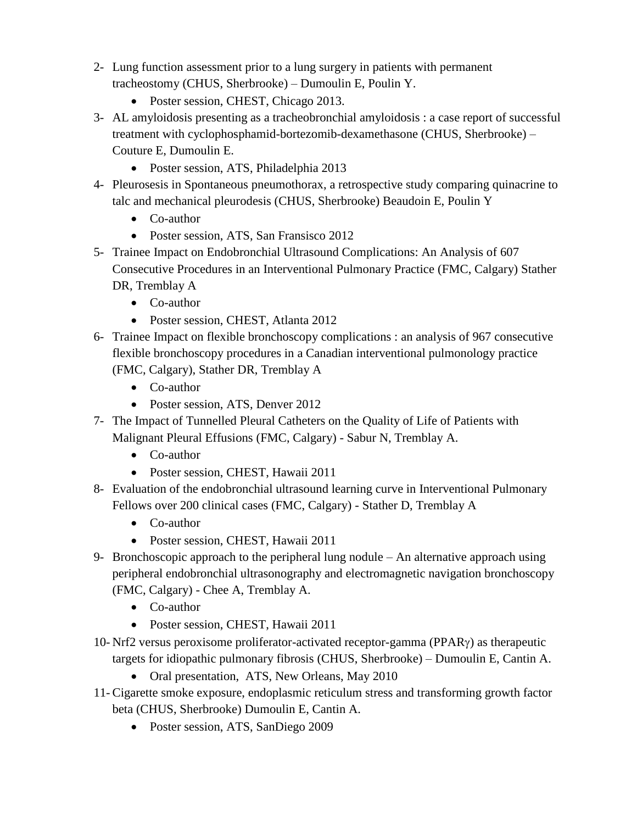- 2- Lung function assessment prior to a lung surgery in patients with permanent tracheostomy (CHUS, Sherbrooke) – Dumoulin E, Poulin Y.
	- Poster session, CHEST, Chicago 2013.
- 3- AL amyloidosis presenting as a tracheobronchial amyloidosis : a case report of successful treatment with cyclophosphamid-bortezomib-dexamethasone (CHUS, Sherbrooke) – Couture E, Dumoulin E.
	- Poster session, ATS, Philadelphia 2013
- 4- Pleurosesis in Spontaneous pneumothorax, a retrospective study comparing quinacrine to talc and mechanical pleurodesis (CHUS, Sherbrooke) Beaudoin E, Poulin Y
	- Co-author
	- Poster session, ATS, San Fransisco 2012
- 5- Trainee Impact on Endobronchial Ultrasound Complications: An Analysis of 607 Consecutive Procedures in an Interventional Pulmonary Practice (FMC, Calgary) Stather DR, Tremblay A
	- Co-author
	- Poster session, CHEST, Atlanta 2012
- 6- Trainee Impact on flexible bronchoscopy complications : an analysis of 967 consecutive flexible bronchoscopy procedures in a Canadian interventional pulmonology practice (FMC, Calgary), Stather DR, Tremblay A
	- Co-author
	- Poster session, ATS, Denver 2012
- 7- The Impact of Tunnelled Pleural Catheters on the Quality of Life of Patients with Malignant Pleural Effusions (FMC, Calgary) - Sabur N, Tremblay A.
	- Co-author
	- Poster session, CHEST, Hawaii 2011
- 8- Evaluation of the endobronchial ultrasound learning curve in Interventional Pulmonary Fellows over 200 clinical cases (FMC, Calgary) - Stather D, Tremblay A
	- Co-author
	- Poster session, CHEST, Hawaii 2011
- 9- Bronchoscopic approach to the peripheral lung nodule An alternative approach using peripheral endobronchial ultrasonography and electromagnetic navigation bronchoscopy (FMC, Calgary) - Chee A, Tremblay A.
	- Co-author
	- Poster session, CHEST, Hawaii 2011
- 10- Nrf2 versus peroxisome proliferator-activated receptor-gamma (PPAR) as therapeutic targets for idiopathic pulmonary fibrosis (CHUS, Sherbrooke) – Dumoulin E, Cantin A.
	- Oral presentation, ATS, New Orleans, May 2010
- 11- Cigarette smoke exposure, endoplasmic reticulum stress and transforming growth factor beta (CHUS, Sherbrooke) Dumoulin E, Cantin A.
	- Poster session, ATS, SanDiego 2009